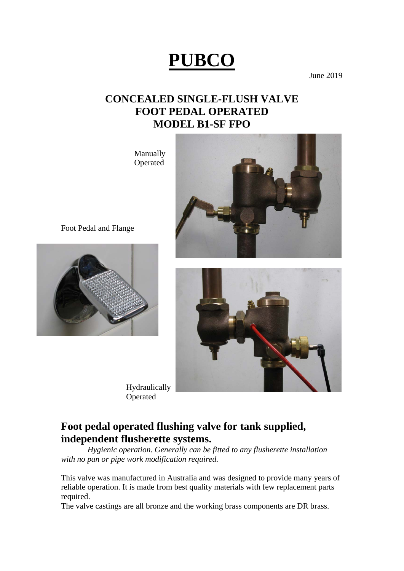# **PUBCO**

June 2019

## **CONCEALED SINGLE-FLUSH VALVE FOOT PEDAL OPERATED MODEL B1-SF FPO**

 Manually Operated



Foot Pedal and Flange





 Hydraulically Operated

### **Foot pedal operated flushing valve for tank supplied, independent flusherette systems.**

 *Hygienic operation. Generally can be fitted to any flusherette installation with no pan or pipe work modification required.* 

This valve was manufactured in Australia and was designed to provide many years of reliable operation. It is made from best quality materials with few replacement parts required.

The valve castings are all bronze and the working brass components are DR brass.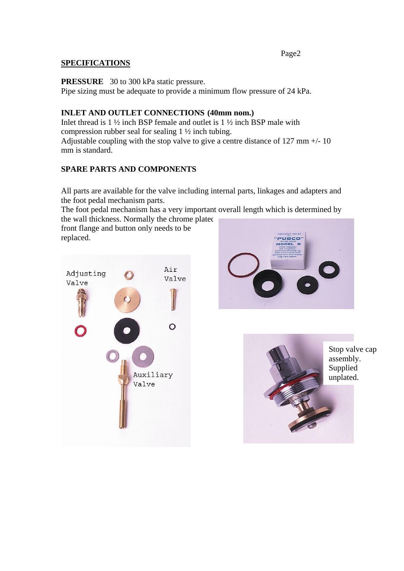#### Page2 **SPECIFICATIONS**

**PRESSURE** 30 to 300 kPa static pressure.

Pipe sizing must be adequate to provide a minimum flow pressure of 24 kPa.

#### **INLET AND OUTLET CONNECTIONS (40mm nom.)**

Inlet thread is  $1\frac{1}{2}$  inch BSP female and outlet is  $1\frac{1}{2}$  inch BSP male with compression rubber seal for sealing 1 ½ inch tubing. Adjustable coupling with the stop valve to give a centre distance of 127 mm +/- 10 mm is standard.

#### **SPARE PARTS AND COMPONENTS**

All parts are available for the valve including internal parts, linkages and adapters and the foot pedal mechanism parts.

The foot pedal mechanism has a very important overall length which is determined by the wall thickness. Normally the chrome plated

front flange and button only needs to be replaced.



PUBCO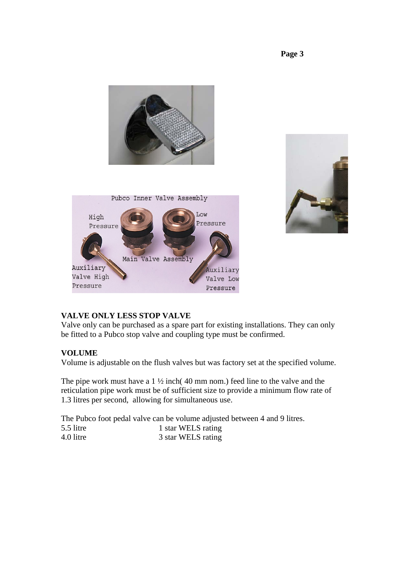**Page 3** 





#### **VALVE ONLY LESS STOP VALVE**

Valve only can be purchased as a spare part for existing installations. They can only be fitted to a Pubco stop valve and coupling type must be confirmed.

#### **VOLUME**

Volume is adjustable on the flush valves but was factory set at the specified volume.

The pipe work must have a  $1\frac{1}{2}$  inch(40 mm nom.) feed line to the valve and the reticulation pipe work must be of sufficient size to provide a minimum flow rate of 1.3 litres per second, allowing for simultaneous use.

The Pubco foot pedal valve can be volume adjusted between 4 and 9 litres.

| 5.5 litre | 1 star WELS rating |
|-----------|--------------------|
| 4.0 litre | 3 star WELS rating |